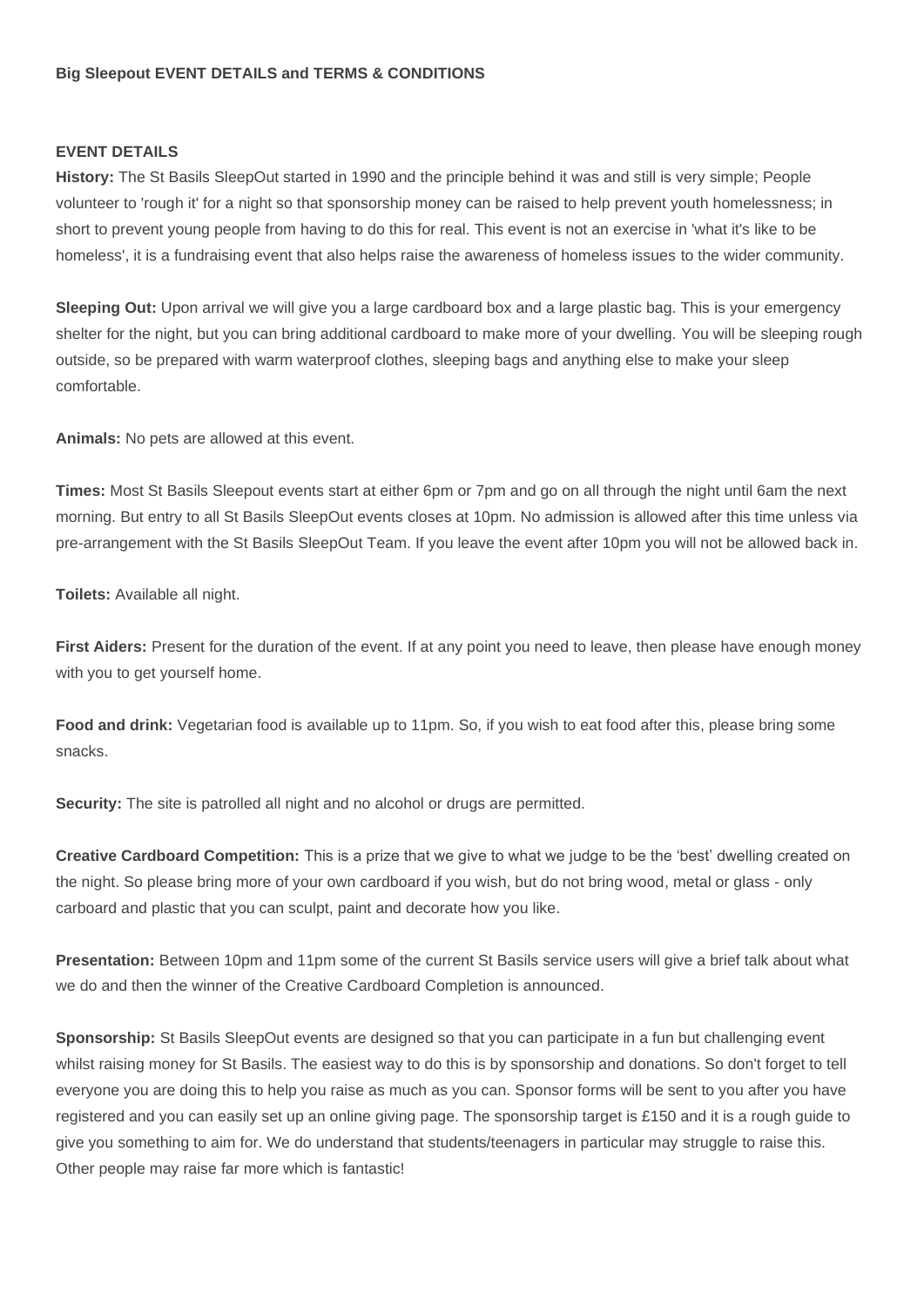## **Big Sleepout EVENT DETAILS and TERMS & CONDITIONS**

## **EVENT DETAILS**

**History:** The St Basils SleepOut started in 1990 and the principle behind it was and still is very simple; People volunteer to 'rough it' for a night so that sponsorship money can be raised to help prevent youth homelessness; in short to prevent young people from having to do this for real. This event is not an exercise in 'what it's like to be homeless', it is a fundraising event that also helps raise the awareness of homeless issues to the wider community.

**Sleeping Out:** Upon arrival we will give you a large cardboard box and a large plastic bag. This is your emergency shelter for the night, but you can bring additional cardboard to make more of your dwelling. You will be sleeping rough outside, so be prepared with warm waterproof clothes, sleeping bags and anything else to make your sleep comfortable.

**Animals:** No pets are allowed at this event.

**Times:** Most St Basils Sleepout events start at either 6pm or 7pm and go on all through the night until 6am the next morning. But entry to all St Basils SleepOut events closes at 10pm. No admission is allowed after this time unless via pre-arrangement with the St Basils SleepOut Team. If you leave the event after 10pm you will not be allowed back in.

**Toilets:** Available all night.

**First Aiders:** Present for the duration of the event. If at any point you need to leave, then please have enough money with you to get yourself home.

**Food and drink:** Vegetarian food is available up to 11pm. So, if you wish to eat food after this, please bring some snacks.

**Security:** The site is patrolled all night and no alcohol or drugs are permitted.

**Creative Cardboard Competition:** This is a prize that we give to what we judge to be the 'best' dwelling created on the night. So please bring more of your own cardboard if you wish, but do not bring wood, metal or glass - only carboard and plastic that you can sculpt, paint and decorate how you like.

**Presentation:** Between 10pm and 11pm some of the current St Basils service users will give a brief talk about what we do and then the winner of the Creative Cardboard Completion is announced.

**Sponsorship:** St Basils SleepOut events are designed so that you can participate in a fun but challenging event whilst raising money for St Basils. The easiest way to do this is by sponsorship and donations. So don't forget to tell everyone you are doing this to help you raise as much as you can. Sponsor forms will be sent to you after you have registered and you can easily set up an online giving page. The sponsorship target is £150 and it is a rough guide to give you something to aim for. We do understand that students/teenagers in particular may struggle to raise this. Other people may raise far more which is fantastic!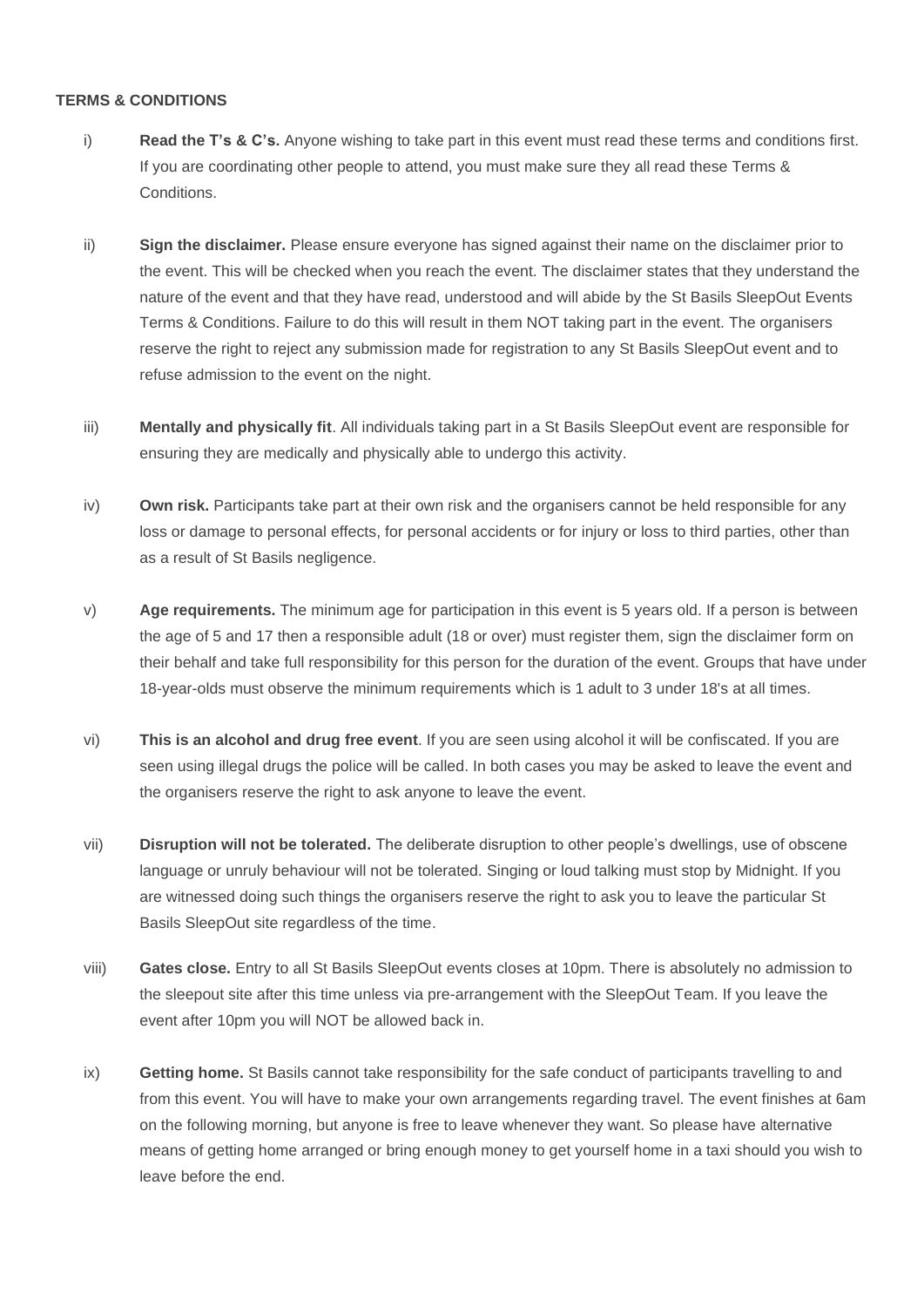## **TERMS & CONDITIONS**

- i) **Read the T's & C's.** Anyone wishing to take part in this event must read these terms and conditions first. If you are coordinating other people to attend, you must make sure they all read these Terms & Conditions.
- ii) **Sign the disclaimer.** Please ensure everyone has signed against their name on the disclaimer prior to the event. This will be checked when you reach the event. The disclaimer states that they understand the nature of the event and that they have read, understood and will abide by the St Basils SleepOut Events Terms & Conditions. Failure to do this will result in them NOT taking part in the event. The organisers reserve the right to reject any submission made for registration to any St Basils SleepOut event and to refuse admission to the event on the night.
- iii) **Mentally and physically fit**. All individuals taking part in a St Basils SleepOut event are responsible for ensuring they are medically and physically able to undergo this activity.
- iv) **Own risk.** Participants take part at their own risk and the organisers cannot be held responsible for any loss or damage to personal effects, for personal accidents or for injury or loss to third parties, other than as a result of St Basils negligence.
- v) **Age requirements.** The minimum age for participation in this event is 5 years old. If a person is between the age of 5 and 17 then a responsible adult (18 or over) must register them, sign the disclaimer form on their behalf and take full responsibility for this person for the duration of the event. Groups that have under 18-year-olds must observe the minimum requirements which is 1 adult to 3 under 18's at all times.
- vi) **This is an alcohol and drug free event**. If you are seen using alcohol it will be confiscated. If you are seen using illegal drugs the police will be called. In both cases you may be asked to leave the event and the organisers reserve the right to ask anyone to leave the event.
- vii) **Disruption will not be tolerated.** The deliberate disruption to other people's dwellings, use of obscene language or unruly behaviour will not be tolerated. Singing or loud talking must stop by Midnight. If you are witnessed doing such things the organisers reserve the right to ask you to leave the particular St Basils SleepOut site regardless of the time.
- viii) **Gates close.** Entry to all St Basils SleepOut events closes at 10pm. There is absolutely no admission to the sleepout site after this time unless via pre-arrangement with the SleepOut Team. If you leave the event after 10pm you will NOT be allowed back in.
- ix) **Getting home.** St Basils cannot take responsibility for the safe conduct of participants travelling to and from this event. You will have to make your own arrangements regarding travel. The event finishes at 6am on the following morning, but anyone is free to leave whenever they want. So please have alternative means of getting home arranged or bring enough money to get yourself home in a taxi should you wish to leave before the end.